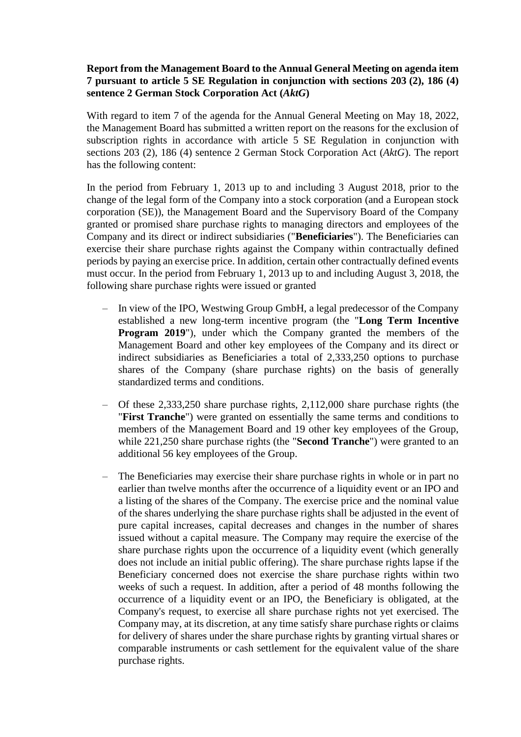## **Report from the Management Board to the Annual General Meeting on agenda item 7 pursuant to article 5 SE Regulation in conjunction with sections 203 (2), 186 (4) sentence 2 German Stock Corporation Act (***AktG***)**

With regard to item 7 of the agenda for the Annual General Meeting on May 18, 2022, the Management Board has submitted a written report on the reasons for the exclusion of subscription rights in accordance with article  $\overline{5}$  SE Regulation in conjunction with sections 203 (2), 186 (4) sentence 2 German Stock Corporation Act (*AktG*). The report has the following content:

In the period from February 1, 2013 up to and including 3 August 2018, prior to the change of the legal form of the Company into a stock corporation (and a European stock corporation (SE)), the Management Board and the Supervisory Board of the Company granted or promised share purchase rights to managing directors and employees of the Company and its direct or indirect subsidiaries ("**Beneficiaries**"). The Beneficiaries can exercise their share purchase rights against the Company within contractually defined periods by paying an exercise price. In addition, certain other contractually defined events must occur. In the period from February 1, 2013 up to and including August 3, 2018, the following share purchase rights were issued or granted

- In view of the IPO, Westwing Group GmbH, a legal predecessor of the Company established a new long-term incentive program (the "**Long Term Incentive Program 2019**"), under which the Company granted the members of the Management Board and other key employees of the Company and its direct or indirect subsidiaries as Beneficiaries a total of 2,333,250 options to purchase shares of the Company (share purchase rights) on the basis of generally standardized terms and conditions.
- Of these 2,333,250 share purchase rights, 2,112,000 share purchase rights (the "**First Tranche**") were granted on essentially the same terms and conditions to members of the Management Board and 19 other key employees of the Group, while 221,250 share purchase rights (the "**Second Tranche**") were granted to an additional 56 key employees of the Group.
- The Beneficiaries may exercise their share purchase rights in whole or in part no earlier than twelve months after the occurrence of a liquidity event or an IPO and a listing of the shares of the Company. The exercise price and the nominal value of the shares underlying the share purchase rights shall be adjusted in the event of pure capital increases, capital decreases and changes in the number of shares issued without a capital measure. The Company may require the exercise of the share purchase rights upon the occurrence of a liquidity event (which generally does not include an initial public offering). The share purchase rights lapse if the Beneficiary concerned does not exercise the share purchase rights within two weeks of such a request. In addition, after a period of 48 months following the occurrence of a liquidity event or an IPO, the Beneficiary is obligated, at the Company's request, to exercise all share purchase rights not yet exercised. The Company may, at its discretion, at any time satisfy share purchase rights or claims for delivery of shares under the share purchase rights by granting virtual shares or comparable instruments or cash settlement for the equivalent value of the share purchase rights.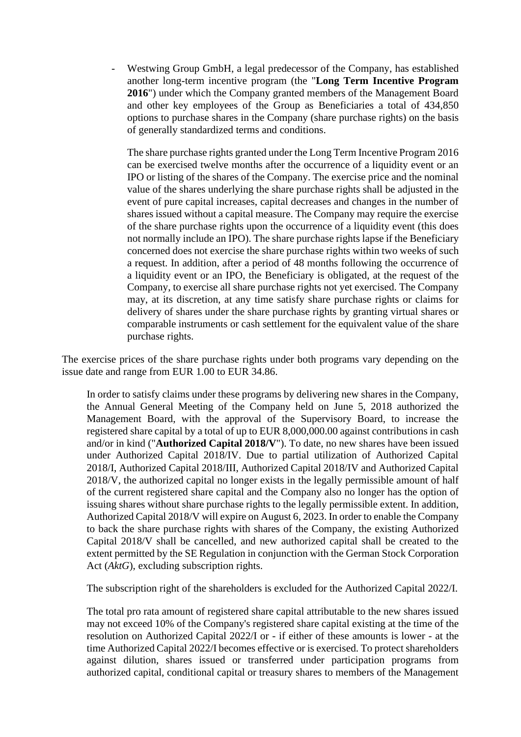Westwing Group GmbH, a legal predecessor of the Company, has established another long-term incentive program (the "**Long Term Incentive Program 2016**") under which the Company granted members of the Management Board and other key employees of the Group as Beneficiaries a total of 434,850 options to purchase shares in the Company (share purchase rights) on the basis of generally standardized terms and conditions.

The share purchase rights granted under the Long Term Incentive Program 2016 can be exercised twelve months after the occurrence of a liquidity event or an IPO or listing of the shares of the Company. The exercise price and the nominal value of the shares underlying the share purchase rights shall be adjusted in the event of pure capital increases, capital decreases and changes in the number of shares issued without a capital measure. The Company may require the exercise of the share purchase rights upon the occurrence of a liquidity event (this does not normally include an IPO). The share purchase rights lapse if the Beneficiary concerned does not exercise the share purchase rights within two weeks of such a request. In addition, after a period of 48 months following the occurrence of a liquidity event or an IPO, the Beneficiary is obligated, at the request of the Company, to exercise all share purchase rights not yet exercised. The Company may, at its discretion, at any time satisfy share purchase rights or claims for delivery of shares under the share purchase rights by granting virtual shares or comparable instruments or cash settlement for the equivalent value of the share purchase rights.

The exercise prices of the share purchase rights under both programs vary depending on the issue date and range from EUR 1.00 to EUR 34.86.

In order to satisfy claims under these programs by delivering new shares in the Company, the Annual General Meeting of the Company held on June 5, 2018 authorized the Management Board, with the approval of the Supervisory Board, to increase the registered share capital by a total of up to EUR 8,000,000.00 against contributions in cash and/or in kind ("**Authorized Capital 2018/V**"). To date, no new shares have been issued under Authorized Capital 2018/IV. Due to partial utilization of Authorized Capital 2018/I, Authorized Capital 2018/III, Authorized Capital 2018/IV and Authorized Capital 2018/V, the authorized capital no longer exists in the legally permissible amount of half of the current registered share capital and the Company also no longer has the option of issuing shares without share purchase rights to the legally permissible extent. In addition, Authorized Capital 2018/V will expire on August 6, 2023. In order to enable the Company to back the share purchase rights with shares of the Company, the existing Authorized Capital 2018/V shall be cancelled, and new authorized capital shall be created to the extent permitted by the SE Regulation in conjunction with the German Stock Corporation Act (*AktG*), excluding subscription rights.

The subscription right of the shareholders is excluded for the Authorized Capital 2022/I.

The total pro rata amount of registered share capital attributable to the new shares issued may not exceed 10% of the Company's registered share capital existing at the time of the resolution on Authorized Capital 2022/I or - if either of these amounts is lower - at the time Authorized Capital 2022/I becomes effective or is exercised. To protect shareholders against dilution, shares issued or transferred under participation programs from authorized capital, conditional capital or treasury shares to members of the Management